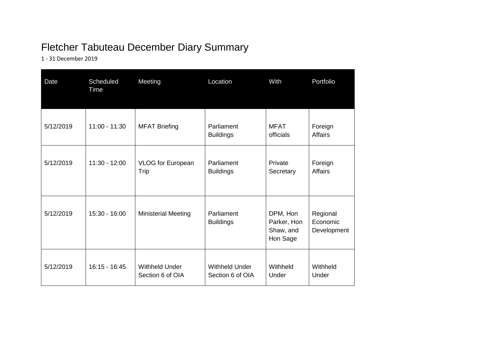## Fletcher Tabuteau December Diary Summary

1 - 31 December 2019

| Date      | Scheduled<br>Time | Meeting                                   | Location                                  | With                                             | Portfolio                           |
|-----------|-------------------|-------------------------------------------|-------------------------------------------|--------------------------------------------------|-------------------------------------|
| 5/12/2019 | $11:00 - 11:30$   | <b>MFAT Briefing</b>                      | Parliament<br><b>Buildings</b>            | <b>MFAT</b><br>officials                         | Foreign<br><b>Affairs</b>           |
| 5/12/2019 | $11:30 - 12:00$   | <b>VLOG</b> for European<br>Trip          | Parliament<br><b>Buildings</b>            | Private<br>Secretary                             | Foreign<br><b>Affairs</b>           |
| 5/12/2019 | 15:30 - 16:00     | <b>Ministerial Meeting</b>                | Parliament<br><b>Buildings</b>            | DPM, Hon<br>Parker, Hon<br>Shaw, and<br>Hon Sage | Regional<br>Economic<br>Development |
| 5/12/2019 | $16:15 - 16:45$   | <b>Withheld Under</b><br>Section 6 of OIA | <b>Withheld Under</b><br>Section 6 of OIA | Withheld<br>Under                                | Withheld<br>Under                   |